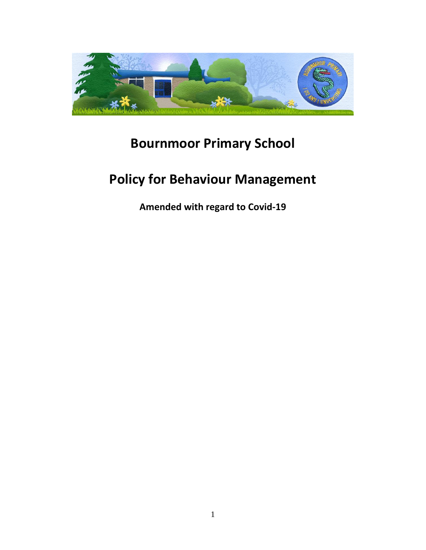

## **Bournmoor Primary School**

# **Policy for Behaviour Management**

**Amended with regard to Covid-19**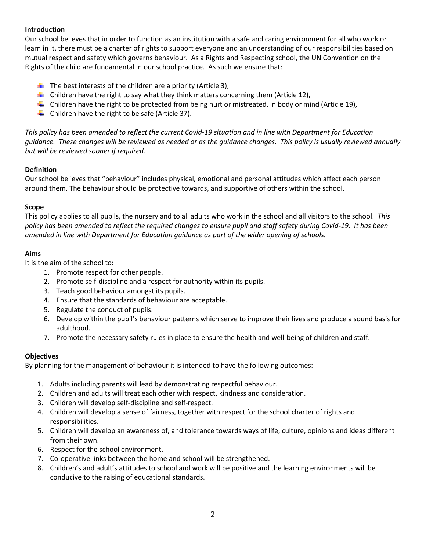#### **Introduction**

Our school believes that in order to function as an institution with a safe and caring environment for all who work or learn in it, there must be a charter of rights to support everyone and an understanding of our responsibilities based on mutual respect and safety which governs behaviour. As a Rights and Respecting school, the UN Convention on the Rights of the child are fundamental in our school practice. As such we ensure that:

- $\downarrow$  The best interests of the children are a priority (Article 3),
- $\ddot{\phantom{1}}$  Children have the right to say what they think matters concerning them (Article 12),
- **L** Children have the right to be protected from being hurt or mistreated, in body or mind (Article 19),
- $\downarrow$  Children have the right to be safe (Article 37).

*This policy has been amended to reflect the current Covid-19 situation and in line with Department for Education guidance. These changes will be reviewed as needed or as the guidance changes. This policy is usually reviewed annually but will be reviewed sooner if required.*

#### **Definition**

Our school believes that "behaviour" includes physical, emotional and personal attitudes which affect each person around them. The behaviour should be protective towards, and supportive of others within the school.

#### **Scope**

This policy applies to all pupils, the nursery and to all adults who work in the school and all visitors to the school. *This policy has been amended to reflect the required changes to ensure pupil and staff safety during Covid-19. It has been amended in line with Department for Education guidance as part of the wider opening of schools.*

#### **Aims**

It is the aim of the school to:

- 1. Promote respect for other people.
- 2. Promote self-discipline and a respect for authority within its pupils.
- 3. Teach good behaviour amongst its pupils.
- 4. Ensure that the standards of behaviour are acceptable.
- 5. Regulate the conduct of pupils.
- 6. Develop within the pupil's behaviour patterns which serve to improve their lives and produce a sound basis for adulthood.
- 7. Promote the necessary safety rules in place to ensure the health and well-being of children and staff.

#### **Objectives**

By planning for the management of behaviour it is intended to have the following outcomes:

- 1. Adults including parents will lead by demonstrating respectful behaviour.
- 2. Children and adults will treat each other with respect, kindness and consideration.
- 3. Children will develop self-discipline and self-respect.
- 4. Children will develop a sense of fairness, together with respect for the school charter of rights and responsibilities.
- 5. Children will develop an awareness of, and tolerance towards ways of life, culture, opinions and ideas different from their own.
- 6. Respect for the school environment.
- 7. Co-operative links between the home and school will be strengthened.
- 8. Children's and adult's attitudes to school and work will be positive and the learning environments will be conducive to the raising of educational standards.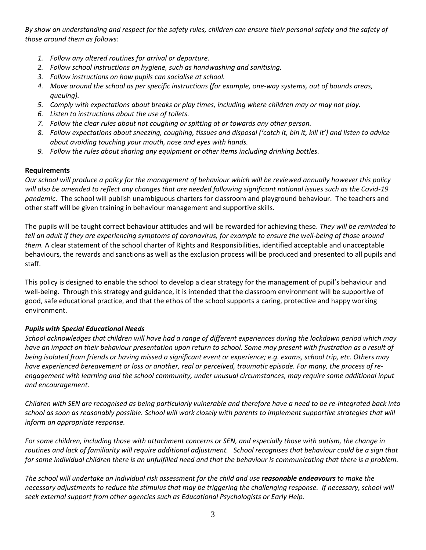*By show an understanding and respect for the safety rules, children can ensure their personal safety and the safety of those around them as follows:*

- *1. Follow any altered routines for arrival or departure.*
- *2. Follow school instructions on hygiene, such as handwashing and sanitising.*
- *3. Follow instructions on how pupils can socialise at school.*
- *4. Move around the school as per specific instructions (for example, one-way systems, out of bounds areas, queuing).*
- *5. Comply with expectations about breaks or play times, including where children may or may not play.*
- *6. Listen to instructions about the use of toilets.*
- *7. Follow the clear rules about not coughing or spitting at or towards any other person.*
- *8. Follow expectations about sneezing, coughing, tissues and disposal ('catch it, bin it, kill it') and listen to advice about avoiding touching your mouth, nose and eyes with hands.*
- *9. Follow the rules about sharing any equipment or other items including drinking bottles.*

#### **Requirements**

*Our school will produce a policy for the management of behaviour which will be reviewed annually however this policy will also be amended to reflect any changes that are needed following significant national issues such as the Covid-19 pandemic*. The school will publish unambiguous charters for classroom and playground behaviour. The teachers and other staff will be given training in behaviour management and supportive skills.

The pupils will be taught correct behaviour attitudes and will be rewarded for achieving these. *They will be reminded to tell an adult if they are experiencing symptoms of coronavirus, for example to ensure the well-being of those around them.* A clear statement of the school charter of Rights and Responsibilities, identified acceptable and unacceptable behaviours, the rewards and sanctions as well as the exclusion process will be produced and presented to all pupils and staff.

This policy is designed to enable the school to develop a clear strategy for the management of pupil's behaviour and well-being. Through this strategy and guidance, it is intended that the classroom environment will be supportive of good, safe educational practice, and that the ethos of the school supports a caring, protective and happy working environment.

#### *Pupils with Special Educational Needs*

*School acknowledges that children will have had a range of different experiences during the lockdown period which may have an impact on their behaviour presentation upon return to school. Some may present with frustration as a result of being isolated from friends or having missed a significant event or experience; e.g. exams, school trip, etc. Others may have experienced bereavement or loss or another, real or perceived, traumatic episode. For many, the process of reengagement with learning and the school community, under unusual circumstances, may require some additional input and encouragement.*

*Children with SEN are recognised as being particularly vulnerable and therefore have a need to be re-integrated back into school as soon as reasonably possible. School will work closely with parents to implement supportive strategies that will inform an appropriate response.* 

*For some children, including those with attachment concerns or SEN, and especially those with autism, the change in routines and lack of familiarity will require additional adjustment. School recognises that behaviour could be a sign that for some individual children there is an unfulfilled need and that the behaviour is communicating that there is a problem.* 

*The school will undertake an individual risk assessment for the child and use reasonable endeavours to make the necessary adjustments to reduce the stimulus that may be triggering the challenging response. If necessary, school will seek external support from other agencies such as Educational Psychologists or Early Help.*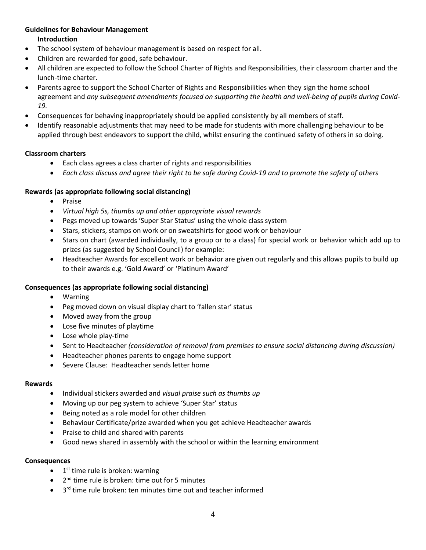#### **Guidelines for Behaviour Management**

**Introduction**

- The school system of behaviour management is based on respect for all.
- Children are rewarded for good, safe behaviour.
- All children are expected to follow the School Charter of Rights and Responsibilities, their classroom charter and the lunch-time charter.
- Parents agree to support the School Charter of Rights and Responsibilities when they sign the home school agreement and *any subsequent amendments focused on supporting the health and well-being of pupils during Covid-19.*
- Consequences for behaving inappropriately should be applied consistently by all members of staff.
- Identify reasonable adjustments that may need to be made for students with more challenging behaviour to be applied through best endeavors to support the child, whilst ensuring the continued safety of others in so doing.

#### **Classroom charters**

- Each class agrees a class charter of rights and responsibilities
- *Each class discuss and agree their right to be safe during Covid-19 and to promote the safety of others*

#### **Rewards (as appropriate following social distancing)**

- Praise
- *Virtual high 5s, thumbs up and other appropriate visual rewards*
- Pegs moved up towards 'Super Star Status' using the whole class system
- Stars, stickers, stamps on work or on sweatshirts for good work or behaviour
- Stars on chart (awarded individually, to a group or to a class) for special work or behavior which add up to prizes (as suggested by School Council) for example:
- Headteacher Awards for excellent work or behavior are given out regularly and this allows pupils to build up to their awards e.g. 'Gold Award' or 'Platinum Award'

#### **Consequences (as appropriate following social distancing)**

- Warning
- Peg moved down on visual display chart to 'fallen star' status
- Moved away from the group
- Lose five minutes of playtime
- Lose whole play-time
- Sent to Headteacher *(consideration of removal from premises to ensure social distancing during discussion)*
- Headteacher phones parents to engage home support
- Severe Clause: Headteacher sends letter home

#### **Rewards**

- Individual stickers awarded and *visual praise such as thumbs up*
- Moving up our peg system to achieve 'Super Star' status
- Being noted as a role model for other children
- Behaviour Certificate/prize awarded when you get achieve Headteacher awards
- Praise to child and shared with parents
- Good news shared in assembly with the school or within the learning environment

#### **Consequences**

- $\bullet$  1<sup>st</sup> time rule is broken: warning
- 2<sup>nd</sup> time rule is broken: time out for 5 minutes
- 3<sup>rd</sup> time rule broken: ten minutes time out and teacher informed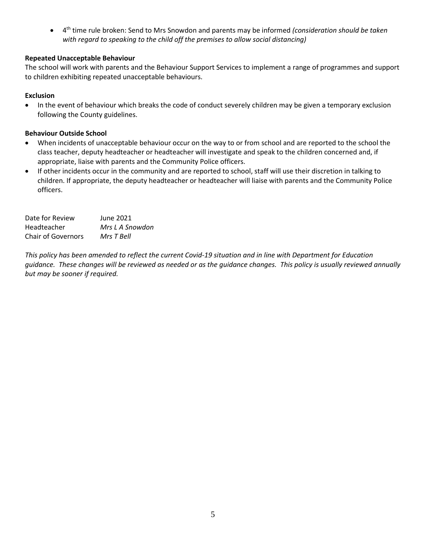• 4 th time rule broken: Send to Mrs Snowdon and parents may be informed *(consideration should be taken with regard to speaking to the child off the premises to allow social distancing)*

#### **Repeated Unacceptable Behaviour**

The school will work with parents and the Behaviour Support Services to implement a range of programmes and support to children exhibiting repeated unacceptable behaviours.

#### **Exclusion**

• In the event of behaviour which breaks the code of conduct severely children may be given a temporary exclusion following the County guidelines.

#### **Behaviour Outside School**

- When incidents of unacceptable behaviour occur on the way to or from school and are reported to the school the class teacher, deputy headteacher or headteacher will investigate and speak to the children concerned and, if appropriate, liaise with parents and the Community Police officers.
- If other incidents occur in the community and are reported to school, staff will use their discretion in talking to children. If appropriate, the deputy headteacher or headteacher will liaise with parents and the Community Police officers.

| Date for Review           | June 2021       |
|---------------------------|-----------------|
| Headteacher               | Mrs L A Snowdon |
| <b>Chair of Governors</b> | Mrs T Bell      |

*This policy has been amended to reflect the current Covid-19 situation and in line with Department for Education guidance. These changes will be reviewed as needed or as the guidance changes. This policy is usually reviewed annually but may be sooner if required.*